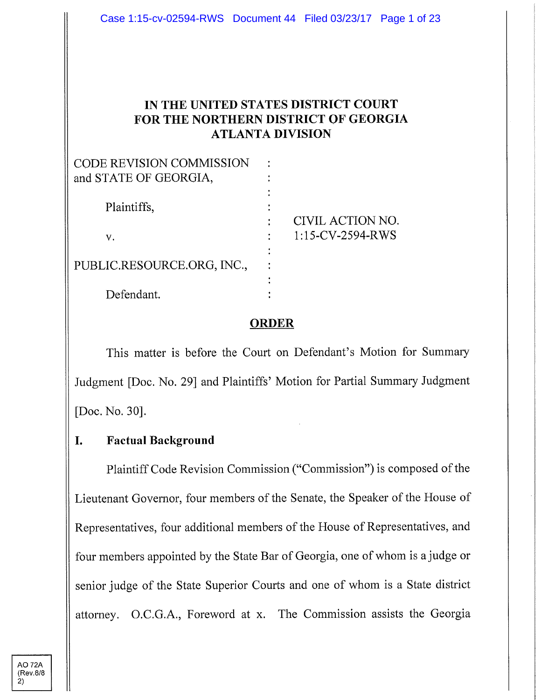## **IN THE UNITED STATES DISTRICT COURT FOR THE NORTHERN DISTRICT OF GEORGIA ATLANTA DIVISION**

| <b>CODE REVISION COMMISSION</b> |                  |
|---------------------------------|------------------|
| and STATE OF GEORGIA,           |                  |
|                                 |                  |
| Plaintiffs,                     |                  |
|                                 | CIVIL ACTION NO. |
| v.                              | 1:15-CV-2594-RWS |
|                                 |                  |
| PUBLIC.RESOURCE.ORG, INC.,      |                  |
|                                 |                  |
| Defendant.                      |                  |

### **ORDER**

This matter is before the Court on Defendant's Motion for Summary Judgment [Doc. No. 29] and Plaintiffs' Motion for Partial Summary Judgment [Doc. No. 30].

### **I. Factual Background**

Plaintiff Code Revision Commission ("Commission") is composed of the Lieutenant Governor, four members of the Senate, the Speaker of the House of Representatives, four additional members of the House of Representatives, and four members appointed by the State Bar of Georgia, one of whom is a judge or senior judge of the State Superior Courts and one of whom is a State district attorney. O.C.G.A., Foreword at x. The Commission assists the Georgia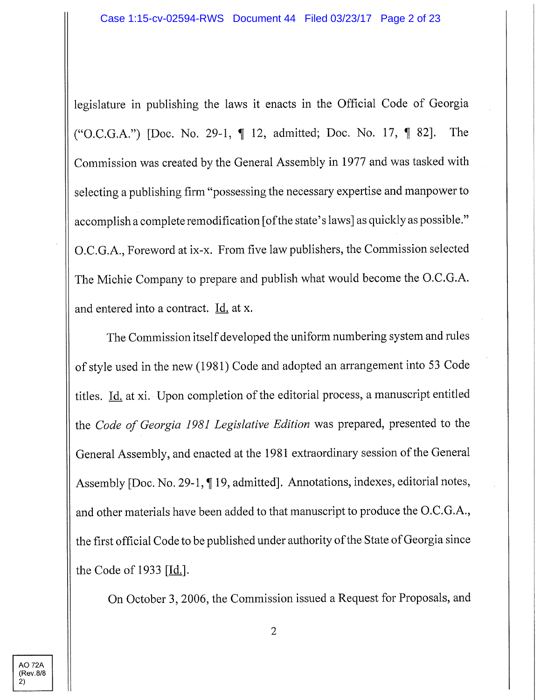legislature in publishing the laws it enacts in the Official Code of Georgia ("O.C.G.A.") [Doc. No. 29-1, ¶ 12, admitted; Doc. No. 17, ¶ 82]. The Commission was created by the General Assembly in 1977 and was tasked with selecting a publishing firm "possessing the necessary expertise and manpower to accomplish a complete remodification [of the state's laws] as quickly as possible." O.C.G.A., Foreword at ix-x. From five law publishers, the Commission selected The Michie Company to prepare and publish what would become the O.C.G.A. and entered into a contract. Id, at x.

The Commission itself developed the uniform numbering system and rules of style used in the new (1981) Code and adopted an arrangement into 53 Code titles. Id. at xi. Upon completion of the editorial process, a manuscript entitled the *Code of Georgia 1981 Legislative Edition* was prepared, presented to the General Assembly, and enacted at the 1981 extraordinary session of the General Assembly [Doc. No. 29-1, ¶19, admitted]. Annotations, indexes, editorial notes, and other materials have been added to that manuscript to produce the O.C.G.A., the first official Code to be published under authority of the State of Georgia since the Code of 1933  $[\underline{Id.}]$ .

On October 3, 2006, the Commission issued a Request for Proposals, and

AO 72A {Rev.8/8 2)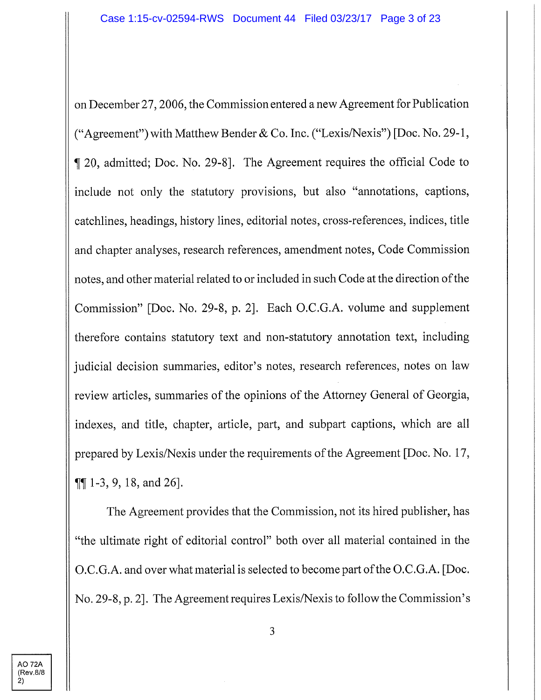on December 27, 2006, the Commission entered a new Agreement for Publication ("Agreement") with Matthew Bender & Co. Inc. ("Lexis/Nexis") [Doc. No. 29-1, ^ 20, admitted; Doc. No. 29-8]. The Agreement requires the official Code to include not only the statutory provisions, but also "annotations, captions, catchlines, headings, history lines, editorial notes, cross-references, indices, title and chapter analyses, research references, amendment notes. Code Commission notes, and other material related to or included in such Code at the direction ofthe Commission" [Doc. No. 29-8, p. 2]. Each O.C.G.A. volume and supplement therefore contains statutory text and non-statutory annotation text, including judicial decision summaries, editor's notes, research references, notes on law review articles, summaries of the opinions of the Attomey General of Georgia, indexes, and title, chapter, article, part, and subpart captions, which are all prepared by Lexis/Nexis under the requirements of the Agreement [Doc. No. 17,  $\P\P$  1-3, 9, 18, and 26].

The Agreement provides that the Commission, not its hired publisher, has "the ultimate right of editorial control" both over all material contained in the O.C.G.A. and over what material is selected to become part of the O.C.G.A. [Doc.] No. 29-8, p. 2]. The Agreement requires Lexis/Nexis to follow the Commission's

AO 72A (Rev.8/8 2)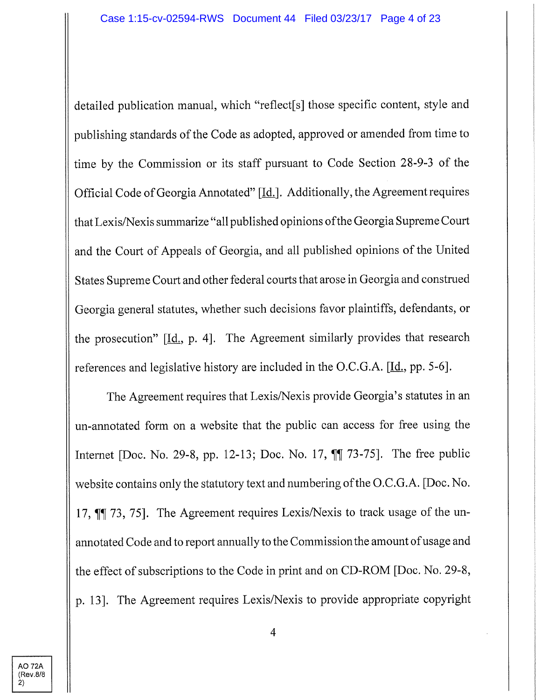detailed publication manual, which "reflect[s] those specific content, style and publishing standards of the Code as adopted, approved or amended from time to time by the Commission or its staff pursuant to Code Section 28-9-3 of the Official Code of Georgia Annotated" [*Id.*]. Additionally, the Agreement requires that Lexis/Nexis summarize "all published opinions of the Georgia Supreme Court and the Court of Appeals of Georgia, and all published opinions of the United States Supreme Court and other federal courts that arose in Georgia and construed Georgia general statutes, whether such decisions favor plaintiffs, defendants, or the prosecution"  $[\underline{Id}]$ , p. 4]. The Agreement similarly provides that research references and legislative history are included in the O.C.G.A. [Id., pp. 5-6].

The Agreement requires that Lexis/Nexis provide Georgia's statutes in an un-annotated form on a website that the public can access for free using the Internet [Doc. No. 29-8, pp. 12-13; Doc. No. 17,  $\P$ [ 73-75]. The free public website contains only the statutory text and numbering of the O.C.G.A. [Doc. No. 17, II 73, 75]. The Agreement requires Lexis/Nexis to track usage of the unannotated Code and to report annually to the Commission the amount of usage and the effect of subscriptions to the Code in print and on CD-ROM [Doc. No. 29-8, p. 13]. The Agreement requires Lexis/Nexis to provide appropriate copyright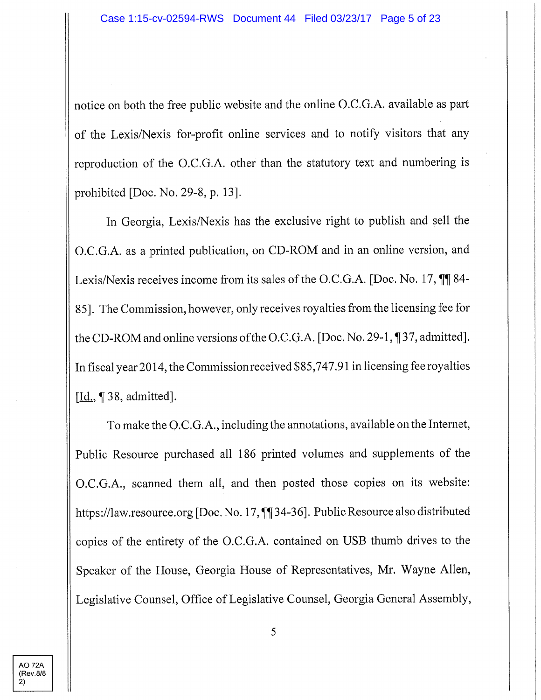notice on both the free public website and the online O.C.G.A. available as part of the Lexis/Nexis for-profit online services and to notify visitors that any reproduction of the O.C.G.A. other than the statutory text and numbering is prohibited [Doc. No. 29-8, p. 13].

In Georgia, Lexis/Nexis has the exclusive right to publish and sell the O.C.G.A. as a printed publication, on CD-ROM and in an online version, and Lexis/Nexis receives income from its sales of the O.C.G.A. [Doc. No. 17,  $\P$ **]** 84-85]. The Commission, however, only receives royalties from the licensing fee for the CD-ROM and online versions ofthe O.C.G.A. [Doc. No. 29-1, **^f** 37, admitted]. In fiscal year 2014, the Commission received \$85,747.91 in licensing fee royalties  $[\underline{Id.}, \P 38,$  admitted].

To make the O.C.G.A., including the annotations, available on the Internet, Public Resource purchased all 186 printed volumes and supplements of the O.C.G.A., scanned them all, and then posted those copies on its website: https://law.resource.org [Doc. No. 17,  $\P$ ]34-36]. Public Resource also distributed copies of the entirety of the O.C.G.A. contained on USB thumb drives to the Speaker of the House, Georgia House of Representatives, Mr. Wayne Allen, Legislative Counsel, Office of Legislative Counsel, Georgia General Assembly,

**AO 72A** (Rev.8/8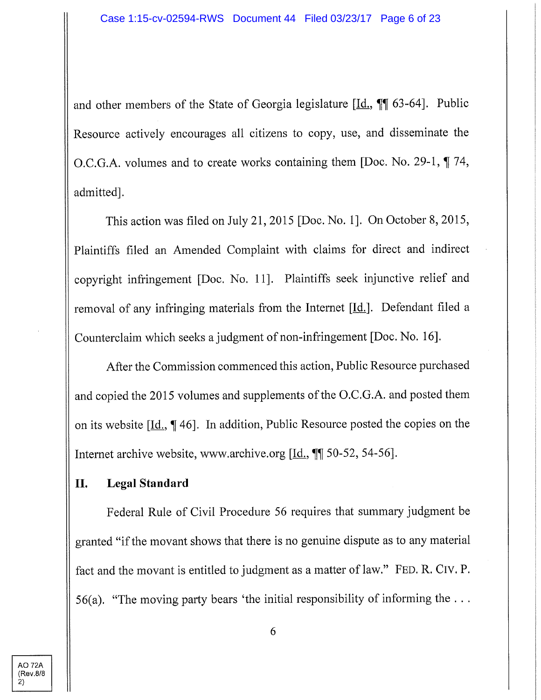and other members of the State of Georgia legislature  $[\underline{Id}, \P \P$  63-64]. Public Resource actively encourages all citizens to copy, use, and disseminate the O.C.G.A. volumes and to create works containing them [Doc. No. 29-1,  $\P$  74, admitted].

This action was filed on July 21, 2015 [Doc. No. 1]. On October 8, 2015, Plaintiffs filed an Amended Complaint with claims for direct and indirect copyright infringement [Doc. No. 11]. Plaintiffs seek injunctive relief and removal of any infringing materials from the Internet  $[\underline{Id}]$ . Defendant filed a Counterclaim which seeks a judgment of non-infringement [Doc. No. 16].

After the Commission commenced this action. Public Resource purchased and copied the 2015 volumes and supplements of the O.C.G.A. and posted them on its website [<u>Id.,</u> 146]. In addition, Public Resource posted the copies on the Internet archive website, www.archive.org  $[\underline{Id.}, \P]$  50-52, 54-56].

### **II.** Legal Standard

Federal Rule of Civil Procedure 56 requires that summary judgment be granted "if the movant shows that there is no genuine dispute as to any material fact and the movant is entitled to judgment as a matter of law." FED. R. CiV. P. 56(a). "The moving party bears 'the initial responsibility of informing the  $\dots$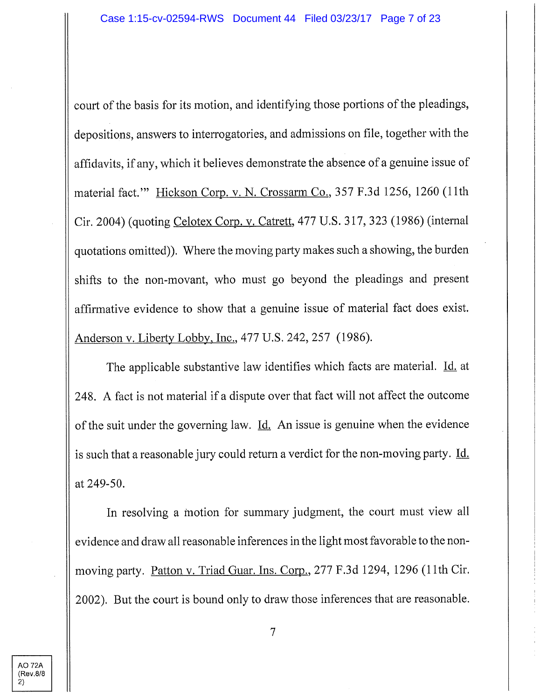court of the basis for its motion, and identifying those portions of the pleadings, depositions, answers to interrogatories, and admissions on file, together with the affidavits, if any, which it believes demonstrate the absence of a genuine issue of material fact." Hickson Corp. v. N. Crossarm Co., 357 F.3d 1256, 1260 (11th Cir. 2004) (quoting Celotex Corp. v. Catrett. 477 U.S. 317, 323 (1986) (internal quotations omitted)). Where the moving party makes such a showing, the burden shifts to the non-movant, who must go beyond the pleadings and present affirmative evidence to show that a genuine issue of material fact does exist. Anderson v. Liberty Lobby, Inc., 477 U.S. 242, 257 (1986).

The applicable substantive law identifies which facts are material. Id. at 248. A fact is not material if a dispute over that fact will not affect the outcome of the suit under the governing law. Id. An issue is genuine when the evidence is such that a reasonable jury could return a verdict for the non-moving party. Id. at 249-50.

In resolving a motion for summary judgment, the court must view all evidence and draw all reasonable inferences in the light most favorable to the nonmoving party. Patton v. Triad Guar. Ins. Corp.. 277 F.3d 1294, 1296 (11th Cir. 2002). But the court is bound only to draw those inferences that are reasonable.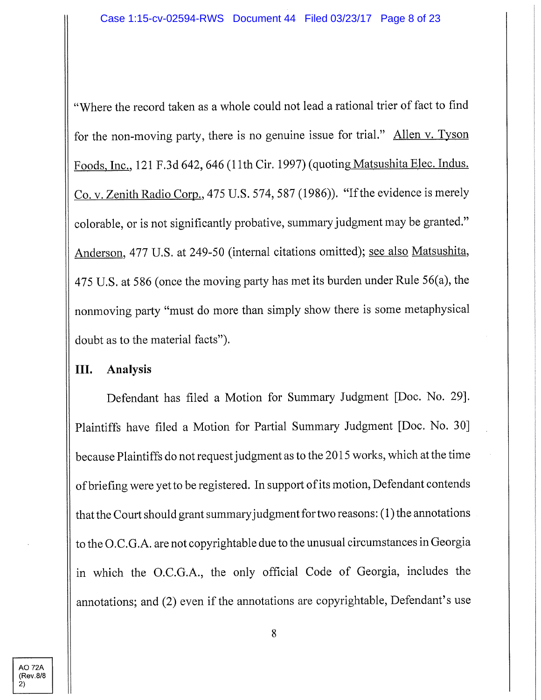"Where the record taken as a whole could not lead a rational trier of fact to find for the non-moving party, there is no genuine issue for trial." Allen v. Tyson Foods, Inc., 121 F.3d 642, 646 (11th Cir. 1997) (quoting Matsushita Elec. Indus. Co. v. Zenith Radio Corp., 475 U.S. 574, 587 (1986)). "If the evidence is merely colorable, or is not significantly probative, summary judgment may be granted." Anderson, 477 U.S. at 249-50 (internal citations omitted); see also Matsushita, 475 U.S. at 586 (once the moving party has met its burden under Rule 56(a), the nonmoving party "must do more than simply show there is some metaphysical doubt as to the material facts").

### **III. Analysis**

Defendant has filed a Motion for Summary Judgment [Doc. No. 29]. Plaintiffs have filed a Motion for Partial Summary Judgment [Doc. No. 30] because Plaintiffs do not request judgment as to the 2015 works, which at the time of briefing were yet to be registered. In support of its motion. Defendant contends that the Court should grant summaryjudgment for two reasons: (1) the annotations to the O.C.G.A. are not copyrightable due to the unusual circumstances in Georgia in which the O.C.G.A., the only official Code of Georgia, includes the annotations; and (2) even if the annotations are copyrightable, Defendant's use

**AO 72A** (Rev 8/8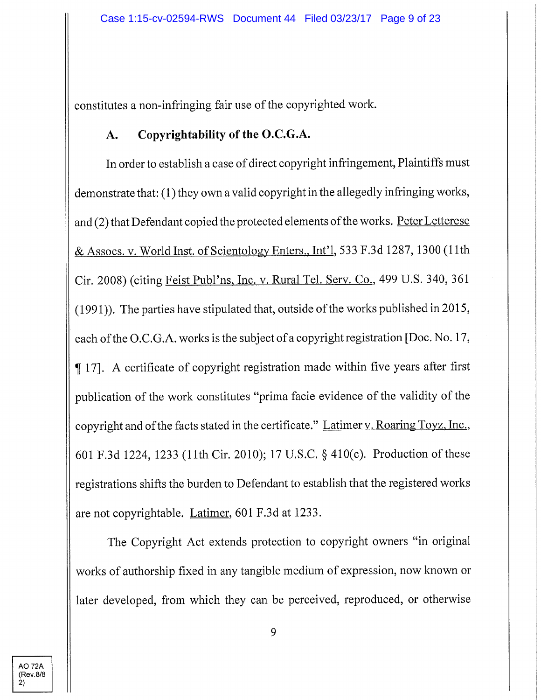constitutes a non-infringing fair use of the copyrighted work.

# **A. Copyrightability of the O.C.G.A.**

In order to establish a case of direct copyright infringement, Plaintiffs must demonstrate that: (1) they own a valid copyright in the allegedly infringing works, and (2) that Defendant copied the protected elements of the works. Peter Letterese & Assocs. **V.** World Inst, of Scientologv Enters.. Int'l 533 F.3d 1287,1300 (11th Cir. 2008) (citing Feist Publ'ns. Inc. v. Rural Tel. Serv. Co.. 499 U.S. 340, 361  $(1991)$ ). The parties have stipulated that, outside of the works published in 2015, each of the O.C.G.A. works is the subject of a copyright registration [Doc. No. 17, ^17]. A certificate of copyright registration made within five years after first publication of the work constitutes "prima facie evidence of the validity of the copyright and of the facts stated in the certificate." Latimer v. Roaring Toyz. Inc.. 601 F.3d 1224, 1233 (11th Cir. 2010); 17 U.S.C. § 410(c). Production of these registrations shifts the burden to Defendant to establish that the registered works are not copyrightable. Latimer. 601 F.3d at 1233.

The Copyright Act extends protection to copyright owners "in original works of authorship fixed in any tangible medium of expression, now known or later developed, from which they can be perceived, reproduced, or otherwise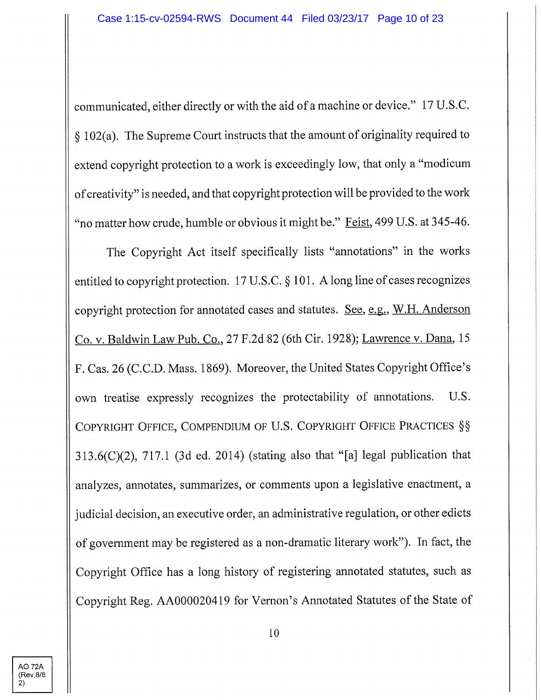communicated, either directly or with the aid of a machine or device." 17 U.S.C. § 102(a). The Supreme Court instructs that the amount of originality required to extend copyright protection to a work is exceedingly low, that only a "modicum of creativity" is needed, and that copyright protection will be provided to the work "no matter how crude, humble or obvious it might be." Feist, 499 U.S. at 345-46.

The Copyright Act itself specifically lists "annotations" in the works entitled to copyright protection. 17 U.S.C. § 101. A long line of cases recognizes copyright protection for annotated cases and statutes. See, e.g., W.H. Anderson Co. **V.** Baldwin Law Pub. Co.. 27 F.2d 82 (6th Cir. 1928); Lawrence v. Dana. 15 F. Cas. 26 (CCD. Mass. 1869). Moreover, the United States Copyright Office's own treatise expressly recognizes the protectability of annotations. U.S. COPYRIGHT OFFICE, COMPENDIUM OF U.S. COPYRIGHT OFFICE PRACTICES §§ 313.6(C)(2), 717.1 (3d ed. 2014) (stating also that "[a] legal publication that analyzes, annotates, summarizes, or comments upon a legislative enactment, a judicial decision, an executive order, an administrative regulation, or other edicts of government may be registered as a non-dramatic literary work"). In fact, the Copyright Office has a long history of registering annotated statutes, such as Copyright Reg. AA000020419 for Vernon's Annotated Statutes of the State of

**AO 72A** (Rev.8/8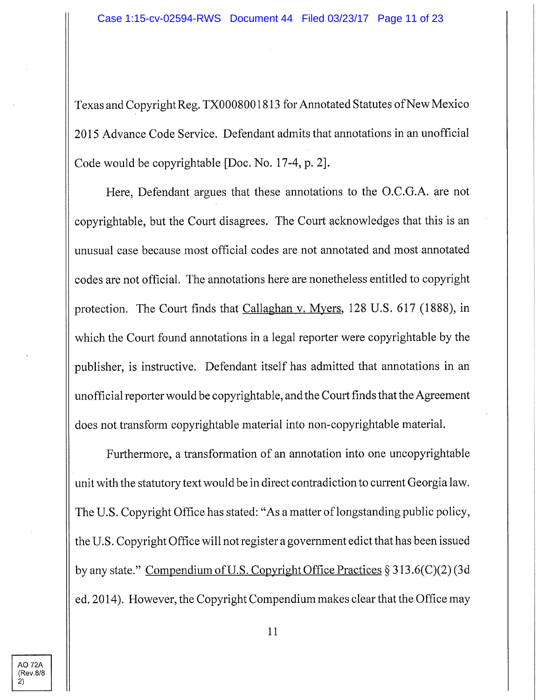Texas and Copyright Reg. TX0008001813 for Annotated Statutes of New Mexico 2015 Advance Code Service. Defendant admits that annotations in an unofficial Code would be copyrightable [Doc. No. 17-4, p. 2].

Here, Defendant argues that these annotations to the O.C.G.A. are not copyrightable, but the Court disagrees. The Court acknowledges that this is an unusual case because most official codes are not annotated and most annotated codes are not official. The annotations here are nonetheless entitled to copyright protection. The Court finds that Callaghan v. Mvers. 128 U.S. 617 (1888), in which the Court found annotations in a legal reporter were copyrightable by the publisher, is instructive. Defendant itself has admitted that annotations in an unofficial reporter would be copyrightable, and the Court finds that the Agreement does not transform copyrightable material into non-copyrightable material.

Furthermore, a transformation of an annotation into one uncopyrightable unit with the statutory text would be in direct contradiction to current Georgia law. The U.S. Copyright Office has stated: "As a matter of longstanding public policy, the U. S. Copyright Office will not register a government edict that has been issued by any state." Compendium of U.S. Copyright Office Practices  $\S 313.6(C)(2)$  (3d ed. 2014). However, the Copyright Compendium makes clear that the Office may

**AO 72A** (Rev.8/8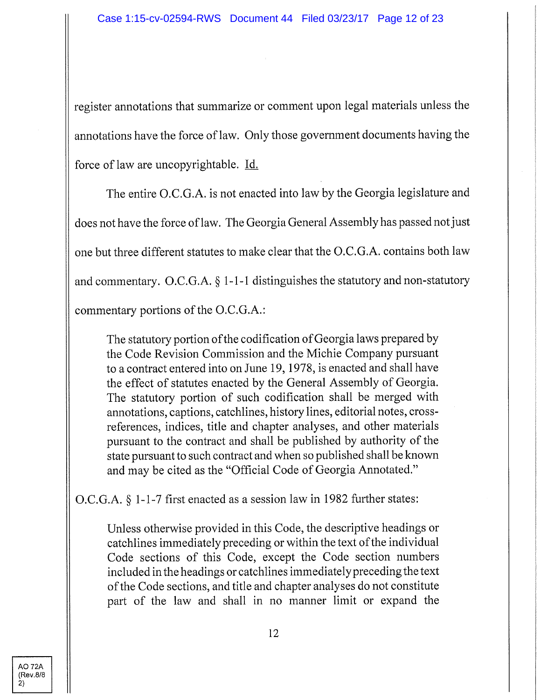register annotations that summarize or comment upon legal materials unless the annotations have the force of law. Only those government documents having the force of law are uncopyrightable. Id,

The entire O.C.G.A. is not enacted into law by the Georgia legislature and does not have the force of law. The Georgia General Assembly has passed not just one but three different statutes to make clear that the O.C.G.A. contains both law and commentary. O.C.G.A. § 1-1-1 distinguishes the statutory and non-statutory commentary portions of the O.C.G.A.:

The statutory portion of the codification of Georgia laws prepared by the Code Revision Commission and the Michie Company pursuant to a contract entered into on June 19,1978, is enacted and shall have the effect of statutes enacted by the General Assembly of Georgia. The statutory portion of such codification shall be merged with annotations, captions, catchlines, history lines, editorial notes, crossreferences, indices, title and chapter analyses, and other materials pursuant to the contract and shall be published by authority of the state pursuant to such contract and when so published shall be known and may be cited as the "Official Code of Georgia Annotated."

O.C.G.A. § 1-1-7 first enacted as a session law in 1982 further states:

Unless otherwise provided in this Code, the descriptive headings or catchlines immediately preceding or within the text of the individual Code sections of this Code, except the Code section numbers included in the headings or catchlines immediately preceding the text of the Code sections, and title and chapter analyses do not constitute part of the law and shall in no manner limit or expand the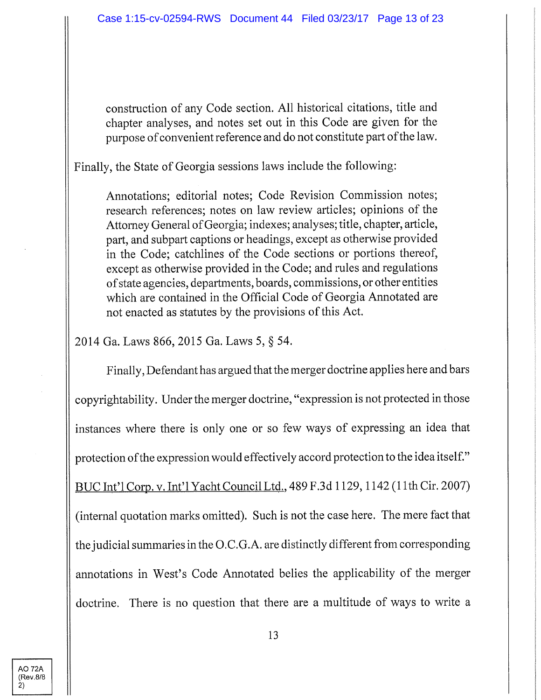construction of any Code section. All historical citations, title and chapter analyses, and notes set out in this Code are given for the purpose of convenient reference and do not constitute part of the law.

Finally, the State of Georgia sessions laws include the following:

Annotations; editorial notes; Code Revision Commission notes; research references; notes on law review articles; opinions of the Attorney General of Georgia; indexes; analyses; title, chapter, article, part, and subpart captions or headings, except as otherwise provided in the Code; catchlines of the Code sections or portions thereof, except as otherwise provided in the Code; and rules and regulations of state agencies, departments, boards, commissions, or other entities which are contained in the Official Code of Georgia Annotated are not enacted as statutes by the provisions of this Act.

2014 Ga. Laws 866, 2015 Ga. Laws 5, § 54.

Finally, Defendant has argued that the merger doctrine applies here and bars copyrightability. Under the merger doctrine, "expression is not protected in those instances where there is only one or so few ways of expressing an idea that protection of the expression would effectively accord protection to the idea itself." BUC Int'l Corp. v. Int'l Yacht Council Ltd., 489 F.3d 1129, 1142 (11th Cir. 2007) (internal quotation marks omitted). Such is not the case here. The mere fact that the judicial summaries in the O.C.G.A. are distinctly different from corresponding annotations in West's Code Annotated belies the applicability of the merger doctrine. There is no question that there are a multitude of ways to write a

AO 72A (Rev,8/8 2)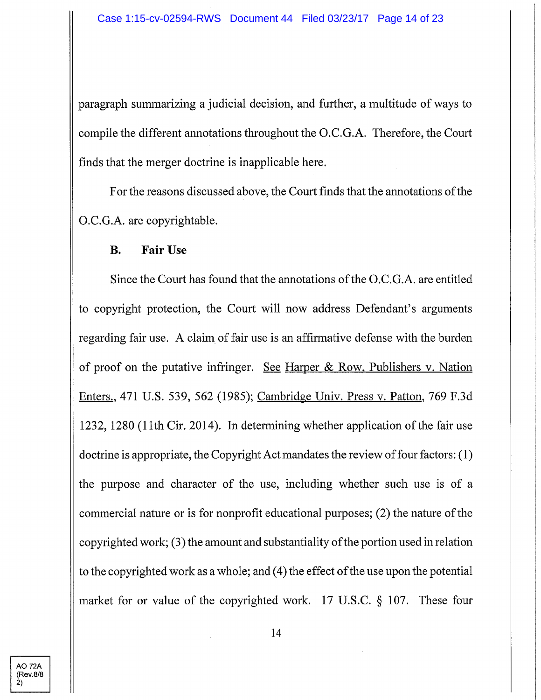paragraph summarizing a judicial decision, and further, a multitude of ways to compile the different annotations throughout the O.C.G.A. Therefore, the Court finds that the merger doctrine is inapplicable here.

For the reasons discussed above, the Court finds that the annotations of the O.C.G.A. are copyrightable.

### **B. Fair Use**

Since the Court has found that the armotations of the O.C.G.A. are entitled to copyright protection, the Court will now address Defendant's arguments regarding fair use. A claim of fair use is an affirmative defense with the burden of proof on the putative infringer. See Harper & Row, Publishers v. Nation Enters.. 471 U.S. 539, 562 (1985); Cambridge Univ. Press v. Patton. 769 F.3d 1232, 1280 (11th Cir. 2014). In determining whether application of the fair use doctrine is appropriate, the Copyright Act mandates the review of four factors: (1) the purpose and character of the use, including whether such use is of a commercial nature or is for nonprofit educational purposes; (2) the nature of the copyrighted work; (3) the amount and substantiality of the portion used in relation to the copyrighted work as a whole; and (4) the effect of the use upon the potential market for or value of the copyrighted work. 17 U.S.C. § 107. These four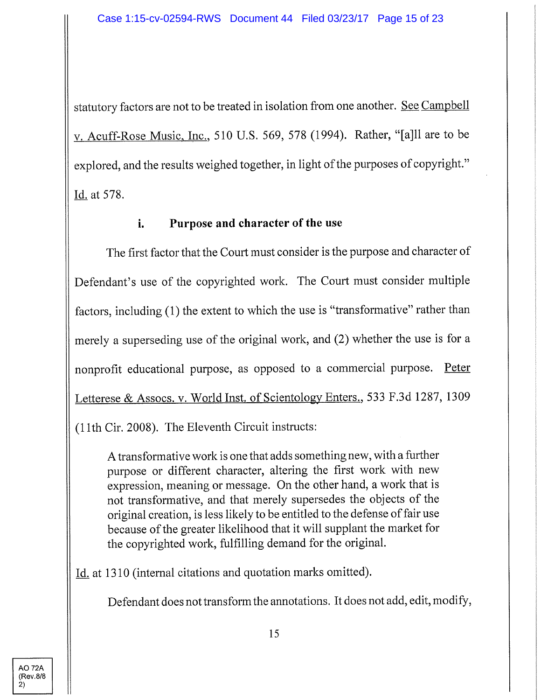statutory factors are not to be treated in isolation from one another. See Campbell **V.** Acuff-Rose Music. Inc.. 510 U.S. 569, 578 (1994). Rather, "[a]ll are to be explored, and the results weighed together, in light of the purposes of copyright." Id. at 578.

## **i. Purpose and character of the use**

The first factor that the Court must consider is the purpose and character of Defendant's use of the copyrighted work. The Court must consider multiple factors, including (1) the extent to which the use is "transformative" rather than merely a superseding use of the original work, and (2) whether the use is for a nonprofit educational purpose, as opposed to a commercial purpose. Peter Letterese & Assocs. v. World Inst, of Scientologv Enters.. 533 F.3d 1287, 1309 (11th Cir. 2008). The Eleventh Circuit instructs:

A transformative work is one that adds something new, with a further purpose or different character, altering the first work with new expression, meaning or message. On the other hand, a work that is not transformative, and that merely supersedes the objects of the original creation, is less likely to be entitled to the defense of fair use because of the greater likelihood that it will supplant the market for the copyrighted work, fulfilling demand for the original.

Id. at 1310 (internal citations and quotation marks omitted).

Defendant does not transform the annotations. It does not add, edit, modify,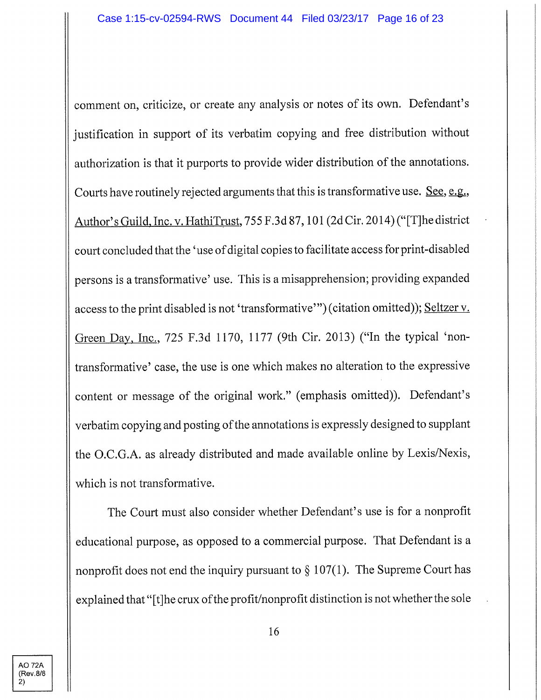comment on, criticize, or create any analysis or notes of its own. Defendant's justification in support of its verbatim copying and free distribution without authorization is that it purports to provide wider distribution of the annotations. Courts have routinely rejected arguments that this is transformative use. See, e.g., Author's Guild. Inc. v. HathiTrust. 755 F.3d 87,101 (2d Cir. 2014) ("[Tjhe district court concluded that the 'use of digital copies to facilitate access for print-disabled persons is a transformative' use. This is a misapprehension; providing expanded access to the print disabled is not 'transformative'") (citation omitted)); Seltzer v. Green Day, Inc., 725 F.3d 1170, 1177 (9th Cir. 2013) ("In the typical 'nontransformative' case, the use is one which makes no alteration to the expressive content or message of the original work." (emphasis omitted)). Defendant's verbatim copying and posting of the annotations is expressly designed to supplant the O.C.G.A. as already distributed and made available online by Lexis/Nexis, which is not transformative.

The Court must also consider whether Defendant's use is for a nonprofit educational purpose, as opposed to a commercial purpose. That Defendant is a nonprofit does not end the inquiry pursuant to  $\S 107(1)$ . The Supreme Court has explained that "[t]he crux of the profit/nonprofit distinction is not whether the sole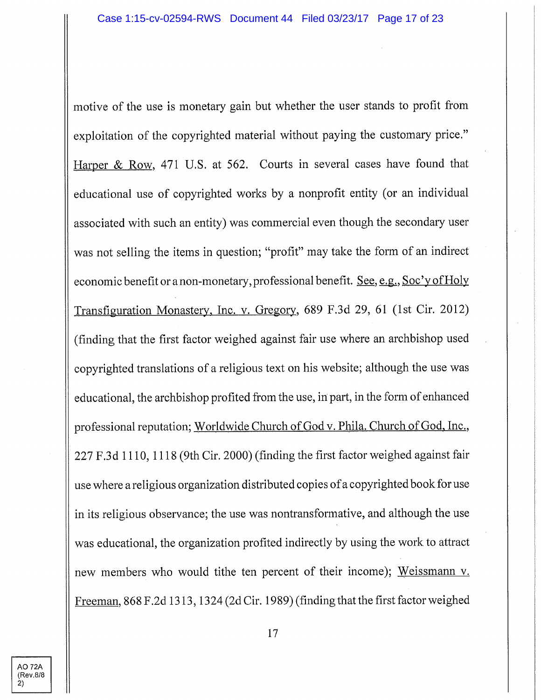motive of the use is monetary gain but whether the user stands to profit from exploitation of the copyrighted material without paying the customary price." Harper & Row, 471 U.S. at 562. Courts in several cases have found that educational use of copyrighted works by a nonprofit entity (or an individual associated with such an entity) was commercial even though the secondary user was not selling the items in question; "profit" may take the form of an indirect economic benefit or a non-monetary, professional benefit. See, e.g., Soc'y of Holy Transfiguration Monastery. Inc. v. Gregory. 689 F.3d 29, 61 (1st Cir. 2012) (finding that the first factor weighed against fair use where an archbishop used copyrighted translations of a religious text on his website; although the use was educational, the archbishop profited from the use, in part, in the form of enhanced professional reputation; Worldwide Church of God v. Phila. Church of God, Inc., 227 F.3d 1110,1118 (9th Cir. 2000) (finding the first factor weighed against fair use where a religious organization distributed copies of a copyrighted book for use in its religious observance; the use was nontransformative, and although the use was educational, the organization profited indirectly by using the work to attract new members who would tithe ten percent of their income); Weissmann v. Freeman. 868 F.2d 1313,1324 (2d Cir. 1989) (finding that the first factor weighed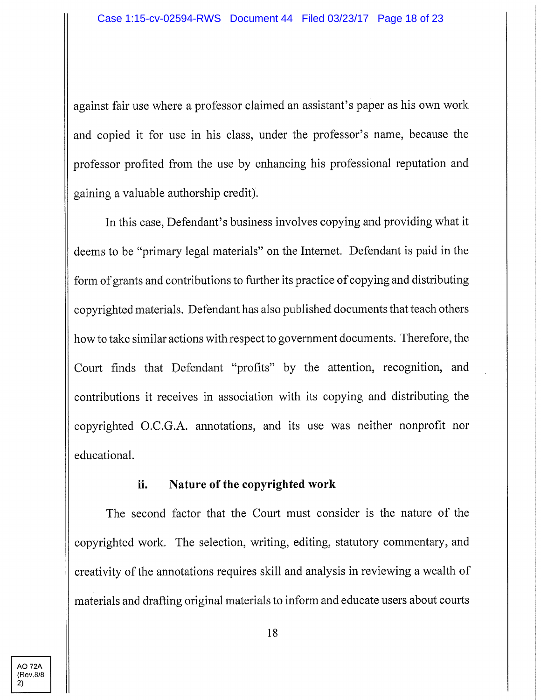against fair use where a professor claimed an assistant's paper as his own work and copied it for use in his class, under the professor's name, because the professor profited from the use by enhancing his professional reputation and gaining a valuable authorship credit).

In this case. Defendant's business involves copying and providing what it deems to be "primary legal materials" on the Internet. Defendant is paid in the form of grants and contributions to further its practice of copying and distributing copyrighted materials. Defendant has also published documents that teach others how to take similar actions with respect to government documents. Therefore, the Court finds that Defendant "profits" by the attention, recognition, and contributions it receives in association with its copying and distributing the copyrighted O.C.G.A. annotations, and its use was neither nonprofit nor educational.

### **ii. Nature of the copyrighted work**

The second factor that the Court must consider is the nature of the copyrighted work. The selection, writing, editing, statutory commentary, and creativity of the annotations requires skill and analysis in reviewing a wealth of materials and drafting original materials to inform and educate users about courts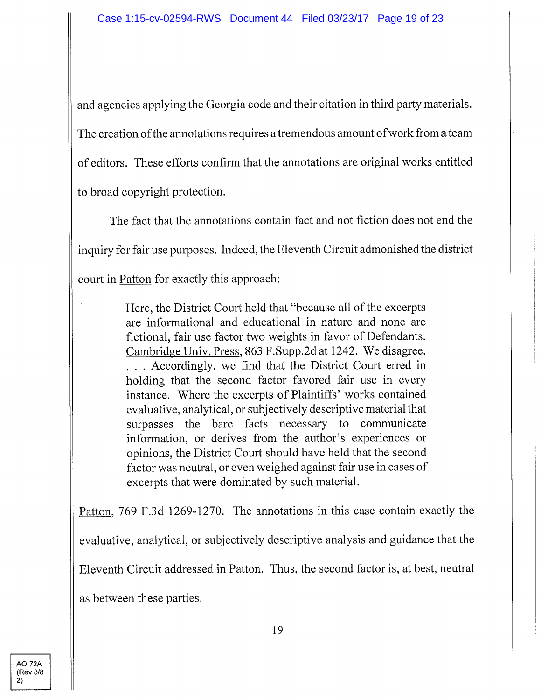and agencies applying the Georgia code and their citation in third party materials. The creation ofthe annotations requires a tremendous amount of work from a team of editors. These efforts confirm that the armotations are original works entitled to broad copyright protection.

The fact that the annotations contain fact and not fiction does not end the inquiry for fair use purposes. Indeed, the Eleventh Circuit admonished the district court in Patton for exactly this approach:

> Here, the District Court held that "because all of the excerpts are informational and educational in nature and none are fictional, fair use factor two weights in favor of Defendants. Cambridge Univ. Press. 863 F.Supp.2d at 1242. We disagree. . . . Accordingly, we find that the District Court erred in holding that the second factor favored fair use in every instance. Where the excerpts of Plaintiffs' works contained evaluative, analytical, or subjectively descriptive material that surpasses the bare facts necessary to communicate information, or derives from the author's experiences or opinions, the District Court should have held that the second factor was neutral, or even weighed against fair use in cases of excerpts that were dominated by such material.

Patton. 769 F.3d 1269-1270. The annotations in this case contain exactly the evaluative, analytical, or subjectively descriptive analysis and guidance that the Eleventh Circuit addressed in Patton. Thus, the second factor is, at best, neutral as between these parties.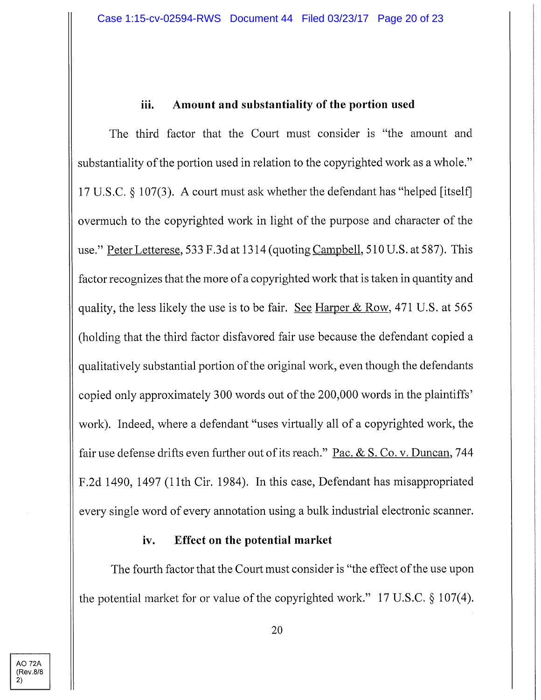### iii. Amount and substantiality of the portion used

The third factor that the Court must consider is "the amount and substantiality of the portion used in relation to the copyrighted work as a whole." 17 U.S.C. § 107(3). A court must ask whether the defendant has "helped [itself] overmuch to the copyrighted work in light of the purpose and character of the use." Peter Letterese, 533 F.3d at 1314 (quoting Campbell, 510 U.S. at 587). This factor recognizes that the more of a copyrighted work that is taken in quantity and quality, the less likely the use is to be fair. See Harper & Row. 471 U.S. at 565 (holding that the third factor disfavored fair use because the defendant copied a qualitatively substantial portion of the original work, even though the defendants copied only approximately 300 words out of the 200,000 words in the plaintiffs' work). Indeed, where a defendant "uses virtually all of a copyrighted work, the fair use defense drifts even further out of its reach." Pac. & S. Co. v. Duncan, 744 F.2d 1490, 1497 (11th Cir. 1984). In this case. Defendant has misappropriated every single word of every annotation using a bulk industrial electronic scanner.

### **iv. Effect on the potential market**

The fourth factor that the Court must consider is "the effect of the use upon the potential market for or value of the copyrighted work." 17 U.S.C. § 107(4).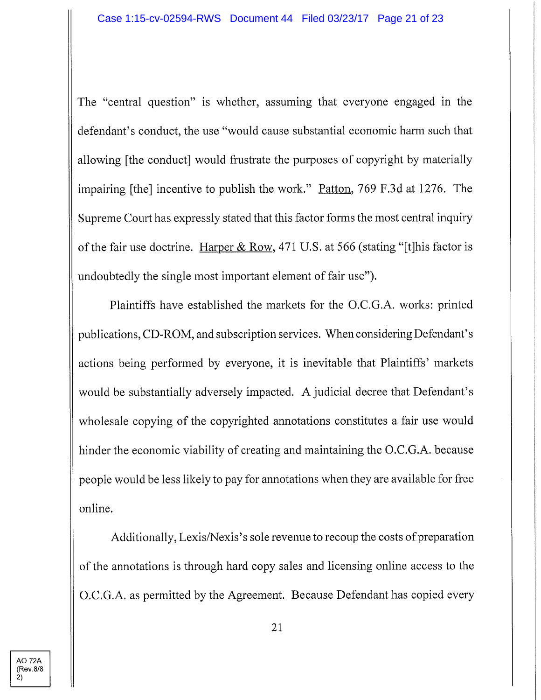The "central question" is whether, assuming that everyone engaged in the defendant's conduct, the use "would cause substantial economic harm such that allowing [the conduct] would frustrate the purposes of copyright by materially impairing [the] incentive to publish the work." Patton, 769 F.3d at 1276. The Supreme Court has expressly stated that this factor forms the most central inquiry of the fair use doctrine. Harper & Row, 471 U.S. at 566 (stating "[t]his factor is undoubtedly the single most important element of fair use").

Plaintiffs have established the markets for the O.C.G.A. works: printed publications, CD-ROM, and subscription services. When considering Defendant's actions being performed by everyone, it is inevitable that Plaintiffs' markets would be substantially adversely impacted. A judicial decree that Defendant's wholesale copying of the copyrighted annotations constitutes a fair use would hinder the economic viability of creating and maintaining the O.C.G.A. because people would be less likely to pay for annotations when they are available for free online.

Additionally, Lexis/Nexis's sole revenue to recoup the costs of preparation of the annotations is through hard copy sales and licensing online access to the O.C.G.A. as permitted by the Agreement. Because Defendant has copied every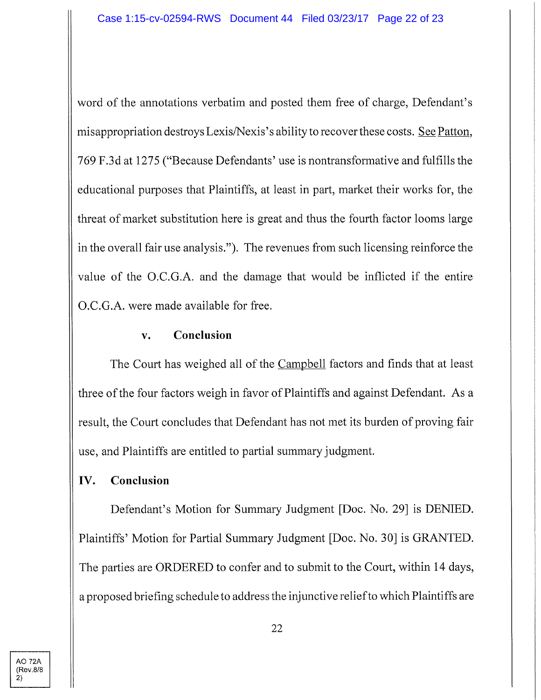word of the annotations verbatim and posted them free of charge, Defendant's misappropriation destroys Lexis/Nexis's ability to recover these costs. See Patton, 769 F.3d at 1275 ("Because Defendants' use is nontransformative and fulfills the educational purposes that Plaintiffs, at least in part, market their works for, the threat of market substitution here is great and thus the fourth factor looms large in the overall fair use analysis."). The revenues from such licensing reinforce the value of the O.C.G.A. and the damage that would be inflicted if the entire O.C.G.A. were made available for free,

## **v. Conclusion**

The Court has weighed all of the Campbell factors and finds that at least three of the four factors weigh in favor of Plaintiffs and against Defendant. As a result, the Court concludes that Defendant has not met its burden of proving fair use, and Plaintiffs are entitled to partial summaryjudgment.

## **IV. Conclusion**

Defendant's Motion for Summary Judgment [Doc. No. 29] is DENIED. Plaintiffs' Motion for Partial Summary Judgment [Doc. No. 30] is GRANTED. The parties are ORDERED to confer and to submit to the Court, within 14 days, a proposed briefing schedule to address the injunctive relief to which Plaintiffs are